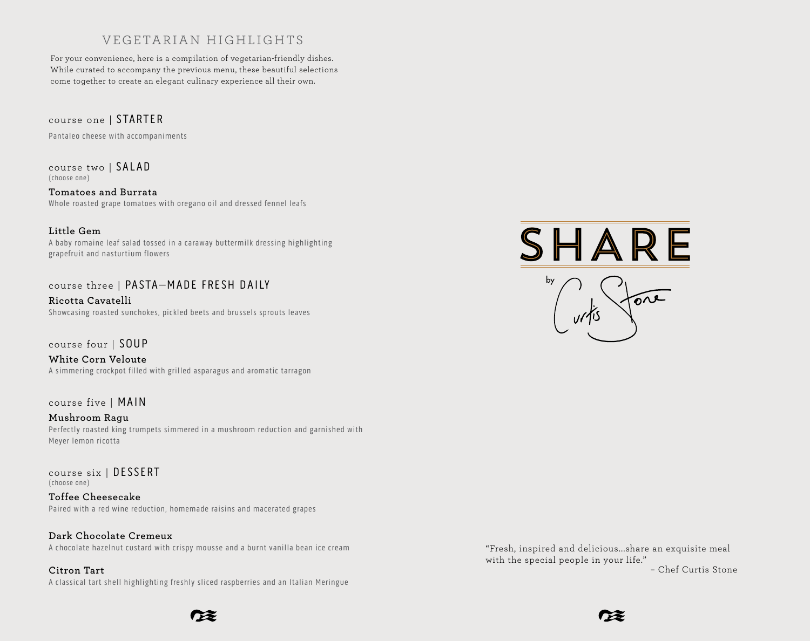# VEGETARIAN HIGHLIGHTS

For your convenience, here is a compilation of vegetarian-friendly dishes. While curated to accompany the previous menu, these beautiful selections come together to create an elegant culinary experience all their own.

course one | STARTER

Pantaleo cheese with accompaniments

course two | SALAD (choose one)

**Tomatoes and Burrata** Whole roasted grape tomatoes with oregano oil and dressed fennel leafs

#### **Little Gem**

A baby romaine leaf salad tossed in a caraway buttermilk dressing highlighting grapefruit and nasturtium flowers

## course three | PASTA–MADE FRESH DAILY

**Ricotta Cavatelli** Showcasing roasted sunchokes, pickled beets and brussels sprouts leaves

course four | SOUP

**White Corn Veloute** A simmering crockpot filled with grilled asparagus and aromatic tarragon

course five | MAIN

**Mushroom Ragu** Perfectly roasted king trumpets simmered in a mushroom reduction and garnished with Meyer lemon ricotta

course six | DESSERT (choose one)

**Toffee Cheesecake**  Paired with a red wine reduction, homemade raisins and macerated grapes

**Dark Chocolate Cremeux** A chocolate hazelnut custard with crispy mousse and a burnt vanilla bean ice cream

**Citron Tart**  A classical tart shell highlighting freshly sliced raspberries and an Italian Meringue

– Chef Curtis Stone "Fresh, inspired and delicious...share an exquisite meal with the special people in your life."





X